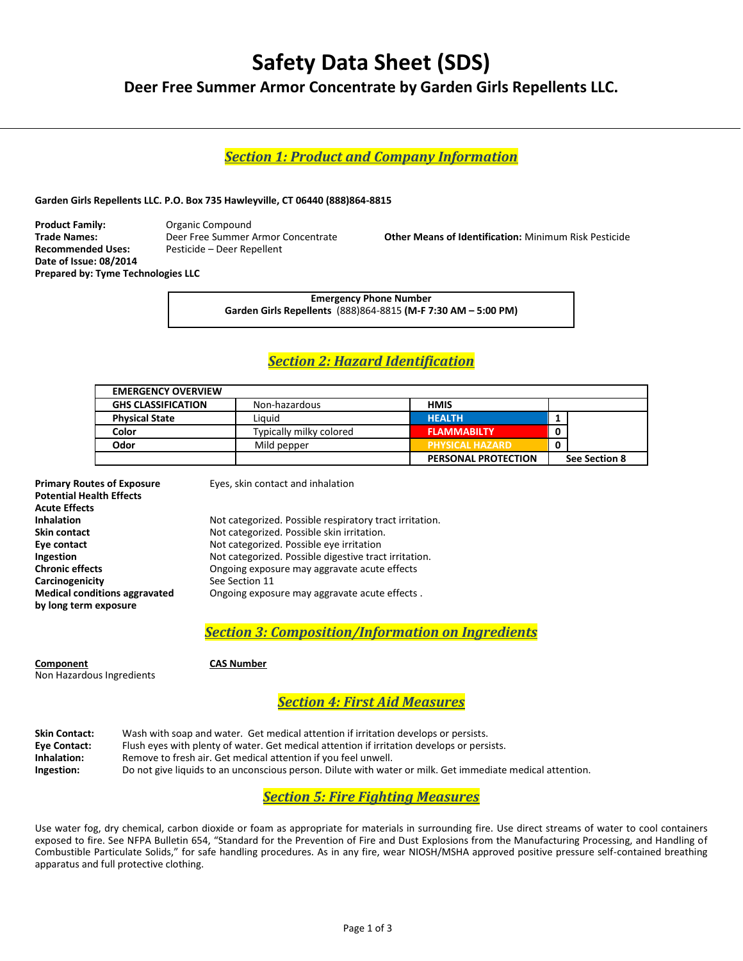# **Safety Data Sheet (SDS)**

**Deer Free Summer Armor Concentrate by Garden Girls Repellents LLC.** 

*Section 1: Product and Company Information*

**Garden Girls Repellents LLC. P.O. Box 735 Hawleyville, CT 06440 (888)864-8815**

**Product Family:** Organic Compound **Trade Names:** Deer Free Summer Armor Concentrate **Other Means of Identification:** Minimum Risk Pesticide **Date of Issue: 08/2014 Prepared by: Tyme Technologies LLC**

**Recommended Uses:** Pesticide – Deer Repellent

**Emergency Phone Number Garden Girls Repellents** (888)864-8815 **(M-F 7:30 AM – 5:00 PM)**

# *Section 2: Hazard Identification*

| <b>EMERGENCY OVERVIEW</b> |                         |                        |               |
|---------------------------|-------------------------|------------------------|---------------|
| <b>GHS CLASSIFICATION</b> | Non-hazardous           | HMIS                   |               |
| <b>Physical State</b>     | Liauid                  | <b>HEALTH</b>          |               |
| Color                     | Typically milky colored | <b>FLAMMABILTY</b>     | 0             |
| Odor                      | Mild pepper             | <b>PHYSICAL HAZARD</b> | 0             |
|                           |                         | PERSONAL PROTECTION    | See Section 8 |

| <b>Primary Routes of Exposure</b>    |  |
|--------------------------------------|--|
| <b>Potential Health Effects</b>      |  |
| <b>Acute Effects</b>                 |  |
| Inhalation                           |  |
| Skin contact                         |  |
| Eye contact                          |  |
| Ingestion                            |  |
| <b>Chronic effects</b>               |  |
| Carcinogenicity                      |  |
| <b>Medical conditions aggravated</b> |  |
| by long term exposure                |  |

**Eyes, skin contact and inhalation** 

Not categorized. Possible respiratory tract irritation. Not categorized. Possible skin irritation. **Eye contact** Not categorized. Possible eye irritation **Ingestion** Not categorized. Possible digestive tract irritation. **Ongoing exposure may aggravate acute effects See Section 11** Ongoing exposure may aggravate acute effects .

*Section 3: Composition/Information on Ingredients*

**Component CAS Number** Non Hazardous Ingredients

*Section 4: First Aid Measures*

| <b>Skin Contact:</b> | Wash with soap and water. Get medical attention if irritation develops or persists.                       |
|----------------------|-----------------------------------------------------------------------------------------------------------|
| Eye Contact:         | Flush eyes with plenty of water. Get medical attention if irritation develops or persists.                |
| Inhalation:          | Remove to fresh air. Get medical attention if you feel unwell.                                            |
| Ingestion:           | Do not give liquids to an unconscious person. Dilute with water or milk. Get immediate medical attention. |

# *Section 5: Fire Fighting Measures*

Use water fog, dry chemical, carbon dioxide or foam as appropriate for materials in surrounding fire. Use direct streams of water to cool containers exposed to fire. See NFPA Bulletin 654, "Standard for the Prevention of Fire and Dust Explosions from the Manufacturing Processing, and Handling of Combustible Particulate Solids," for safe handling procedures. As in any fire, wear NIOSH/MSHA approved positive pressure self-contained breathing apparatus and full protective clothing.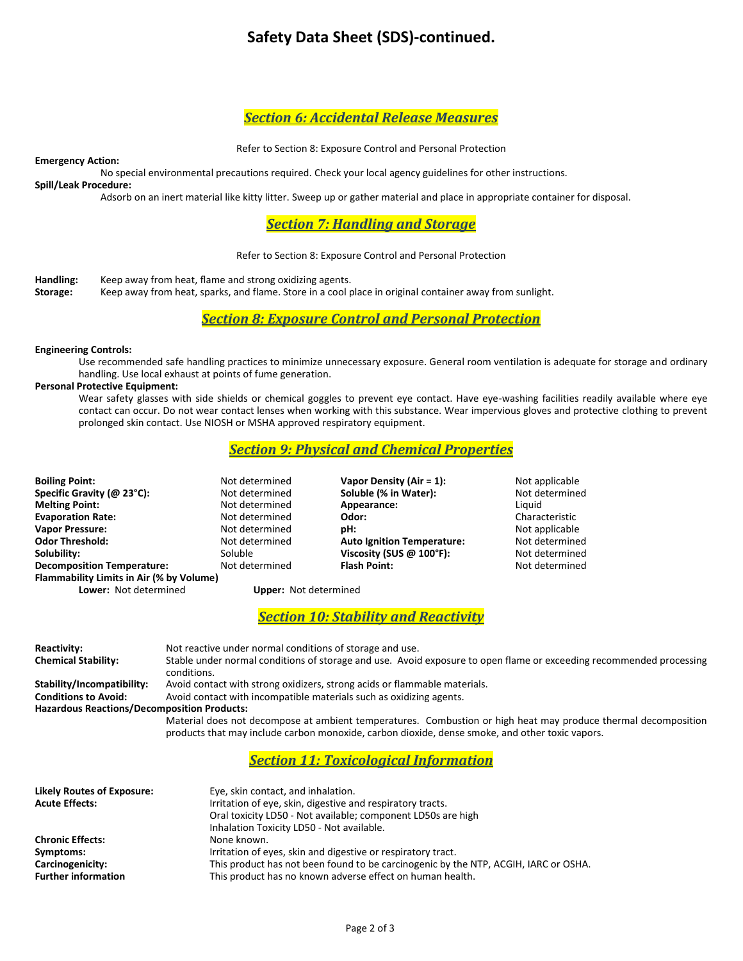# **Safety Data Sheet (SDS)-continued.**

## *Section 6: Accidental Release Measures*

Refer to Section 8: Exposure Control and Personal Protection

**Emergency Action:**

No special environmental precautions required. Check your local agency guidelines for other instructions.

**Spill/Leak Procedure:**

Adsorb on an inert material like kitty litter. Sweep up or gather material and place in appropriate container for disposal.

### *Section 7: Handling and Storage*

#### Refer to Section 8: Exposure Control and Personal Protection

**Handling:** Keep away from heat, flame and strong oxidizing agents.<br>**Storage:** Keep away from heat, sparks, and flame. Store in a cool p

**Storage:** Keep away from heat, sparks, and flame. Store in a cool place in original container away from sunlight.

*Section 8: Exposure Control and Personal Protection*

#### **Engineering Controls:**

Use recommended safe handling practices to minimize unnecessary exposure. General room ventilation is adequate for storage and ordinary handling. Use local exhaust at points of fume generation.

#### **Personal Protective Equipment:**

Wear safety glasses with side shields or chemical goggles to prevent eye contact. Have eye-washing facilities readily available where eye contact can occur. Do not wear contact lenses when working with this substance. Wear impervious gloves and protective clothing to prevent prolonged skin contact. Use NIOSH or MSHA approved respiratory equipment.

### *Section 9: Physical and Chemical Properties*

| <b>Boiling Point:</b>                    | Not determined               | Vapor Density (Air = 1):          | Not applicable |
|------------------------------------------|------------------------------|-----------------------------------|----------------|
| Specific Gravity (@ 23°C):               | Not determined               | Soluble (% in Water):             | Not determined |
| <b>Melting Point:</b>                    | Not determined               | Appearance:                       | Liauid         |
| <b>Evaporation Rate:</b>                 | Not determined               | Odor:                             | Characteristic |
| <b>Vapor Pressure:</b>                   | Not determined               | pH:                               | Not applicable |
| <b>Odor Threshold:</b>                   | Not determined               | <b>Auto Ignition Temperature:</b> | Not determined |
| Solubility:                              | Soluble                      | Viscosity (SUS $@$ 100°F):        | Not determined |
| <b>Decomposition Temperature:</b>        | Not determined               | <b>Flash Point:</b>               | Not determined |
| Flammability Limits in Air (% by Volume) |                              |                                   |                |
| Lower: Not determined                    | <b>Upper:</b> Not determined |                                   |                |

*Section 10: Stability and Reactivity*

| <b>Reactivity:</b>                                 | Not reactive under normal conditions of storage and use.                                                            |
|----------------------------------------------------|---------------------------------------------------------------------------------------------------------------------|
| <b>Chemical Stability:</b>                         | Stable under normal conditions of storage and use. Avoid exposure to open flame or exceeding recommended processing |
|                                                    | conditions.                                                                                                         |
| Stability/Incompatibility:                         | Avoid contact with strong oxidizers, strong acids or flammable materials.                                           |
| <b>Conditions to Avoid:</b>                        | Avoid contact with incompatible materials such as oxidizing agents.                                                 |
| <b>Hazardous Reactions/Decomposition Products:</b> |                                                                                                                     |
|                                                    | Material does not decompose at ambient temperatures. Combustion or high heat may produce thermal decomposition      |
|                                                    | products that may include carbon monoxide, carbon dioxide, dense smoke, and other toxic vapors.                     |

### *Section 11: Toxicological Information*

| <b>Likely Routes of Exposure:</b><br><b>Acute Effects:</b> | Eye, skin contact, and inhalation.<br>Irritation of eye, skin, digestive and respiratory tracts.<br>Oral toxicity LD50 - Not available; component LD50s are high<br>Inhalation Toxicity LD50 - Not available. |
|------------------------------------------------------------|---------------------------------------------------------------------------------------------------------------------------------------------------------------------------------------------------------------|
| <b>Chronic Effects:</b>                                    | None known.                                                                                                                                                                                                   |
| Symptoms:                                                  | Irritation of eyes, skin and digestive or respiratory tract.                                                                                                                                                  |
| Carcinogenicity:<br><b>Further information</b>             | This product has not been found to be carcinogenic by the NTP, ACGIH, IARC or OSHA.<br>This product has no known adverse effect on human health.                                                              |